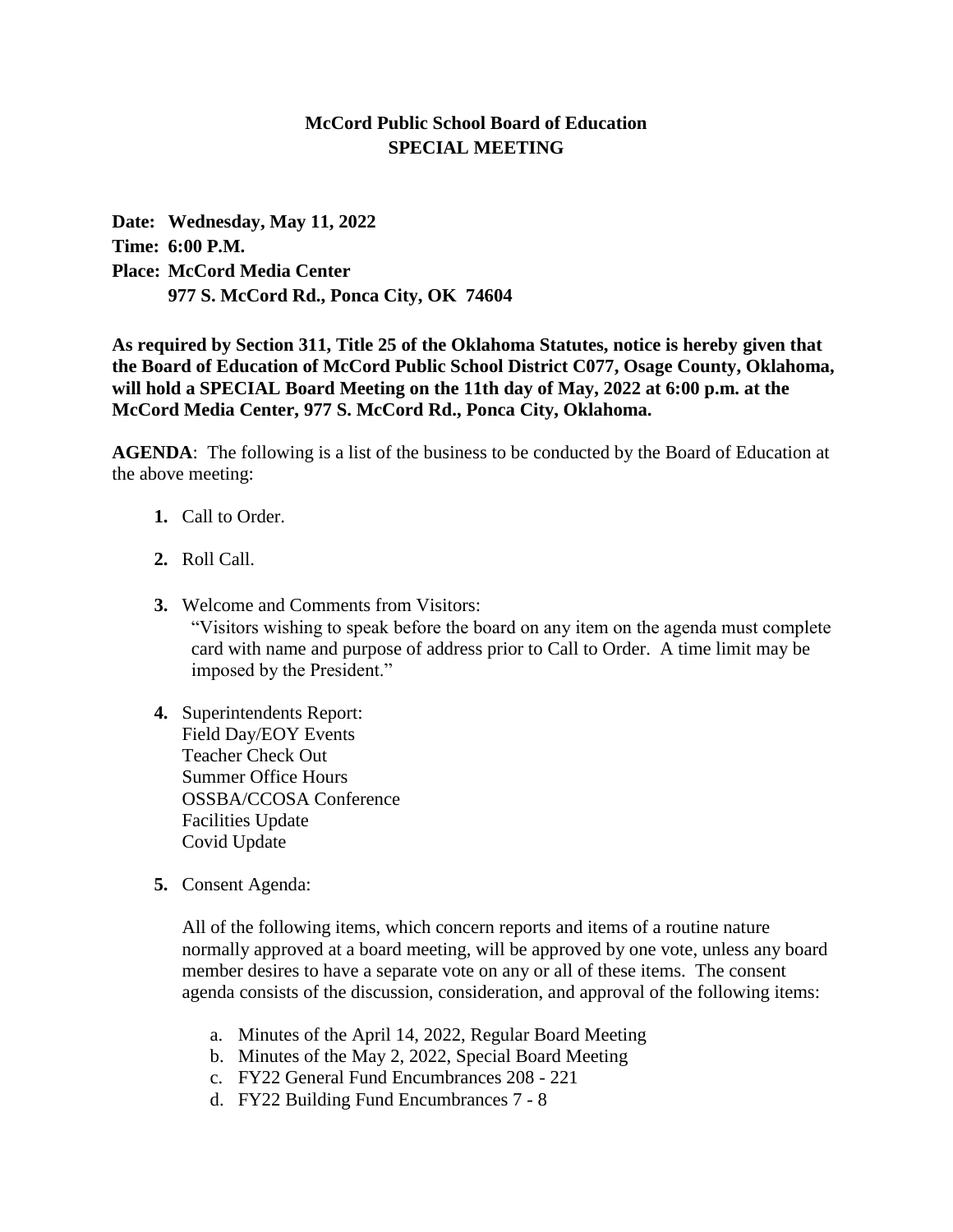## **McCord Public School Board of Education SPECIAL MEETING**

**Date: Wednesday, May 11, 2022 Time: 6:00 P.M. Place: McCord Media Center 977 S. McCord Rd., Ponca City, OK 74604**

**As required by Section 311, Title 25 of the Oklahoma Statutes, notice is hereby given that the Board of Education of McCord Public School District C077, Osage County, Oklahoma, will hold a SPECIAL Board Meeting on the 11th day of May, 2022 at 6:00 p.m. at the McCord Media Center, 977 S. McCord Rd., Ponca City, Oklahoma.** 

**AGENDA**: The following is a list of the business to be conducted by the Board of Education at the above meeting:

- **1.** Call to Order.
- **2.** Roll Call.
- **3.** Welcome and Comments from Visitors: "Visitors wishing to speak before the board on any item on the agenda must complete card with name and purpose of address prior to Call to Order. A time limit may be imposed by the President."
- **4.** Superintendents Report: Field Day/EOY Events Teacher Check Out Summer Office Hours OSSBA/CCOSA Conference Facilities Update Covid Update
- **5.** Consent Agenda:

All of the following items, which concern reports and items of a routine nature normally approved at a board meeting, will be approved by one vote, unless any board member desires to have a separate vote on any or all of these items. The consent agenda consists of the discussion, consideration, and approval of the following items:

- a. Minutes of the April 14, 2022, Regular Board Meeting
- b. Minutes of the May 2, 2022, Special Board Meeting
- c. FY22 General Fund Encumbrances 208 221
- d. FY22 Building Fund Encumbrances 7 8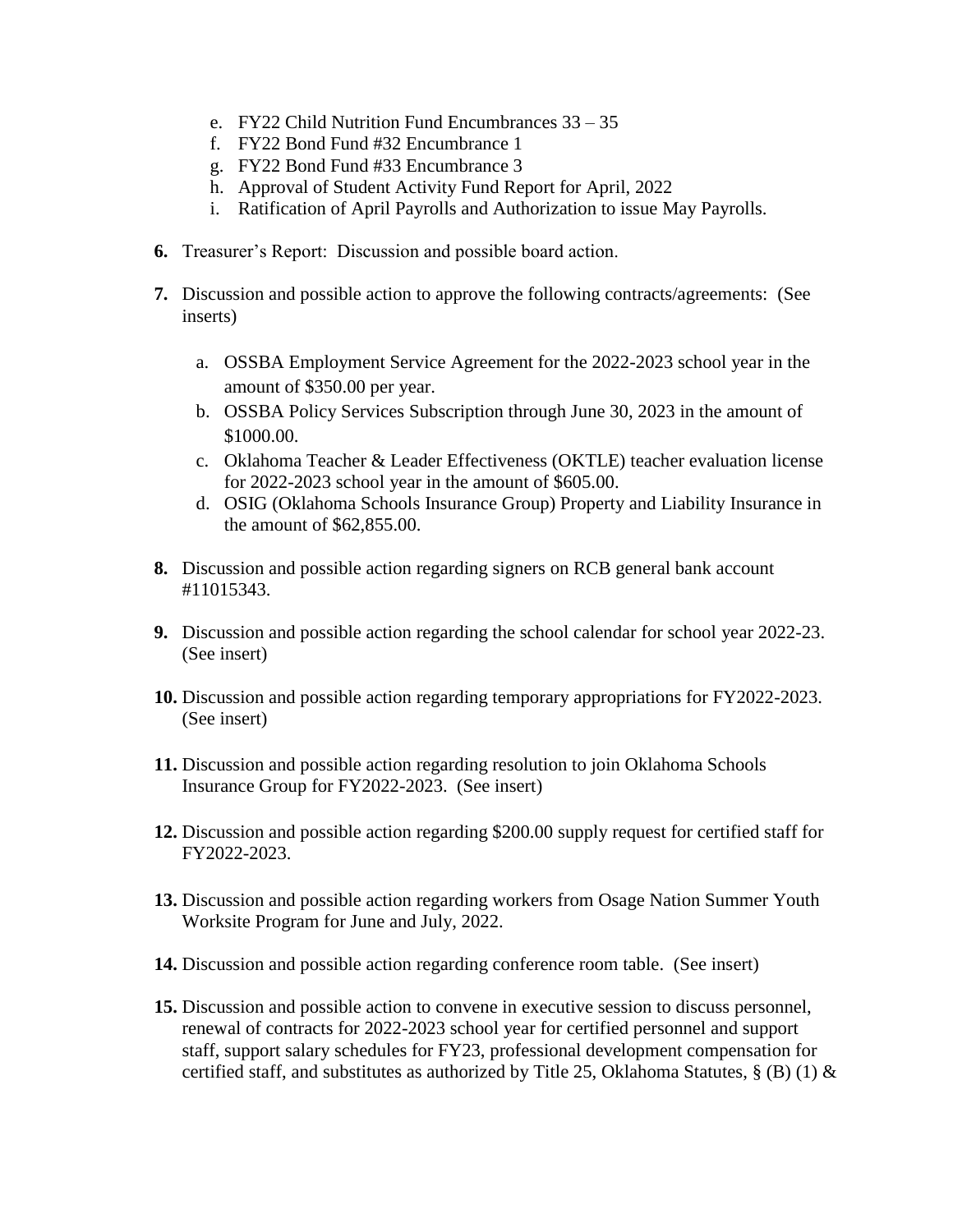- e. FY22 Child Nutrition Fund Encumbrances 33 35
- f. FY22 Bond Fund #32 Encumbrance 1
- g. FY22 Bond Fund #33 Encumbrance 3
- h. Approval of Student Activity Fund Report for April, 2022
- i. Ratification of April Payrolls and Authorization to issue May Payrolls.
- **6.** Treasurer's Report: Discussion and possible board action.
- **7.** Discussion and possible action to approve the following contracts/agreements: (See inserts)
	- a. OSSBA Employment Service Agreement for the 2022-2023 school year in the amount of \$350.00 per year.
	- b. OSSBA Policy Services Subscription through June 30, 2023 in the amount of \$1000.00.
	- c. Oklahoma Teacher & Leader Effectiveness (OKTLE) teacher evaluation license for 2022-2023 school year in the amount of \$605.00.
	- d. OSIG (Oklahoma Schools Insurance Group) Property and Liability Insurance in the amount of \$62,855.00.
- **8.** Discussion and possible action regarding signers on RCB general bank account #11015343.
- **9.** Discussion and possible action regarding the school calendar for school year 2022-23. (See insert)
- **10.** Discussion and possible action regarding temporary appropriations for FY2022-2023. (See insert)
- **11.** Discussion and possible action regarding resolution to join Oklahoma Schools Insurance Group for FY2022-2023. (See insert)
- **12.** Discussion and possible action regarding \$200.00 supply request for certified staff for FY2022-2023.
- **13.** Discussion and possible action regarding workers from Osage Nation Summer Youth Worksite Program for June and July, 2022.
- **14.** Discussion and possible action regarding conference room table. (See insert)
- **15.** Discussion and possible action to convene in executive session to discuss personnel, renewal of contracts for 2022-2023 school year for certified personnel and support staff, support salary schedules for FY23, professional development compensation for certified staff, and substitutes as authorized by Title 25, Oklahoma Statutes,  $\S$  (B) (1)  $\&$